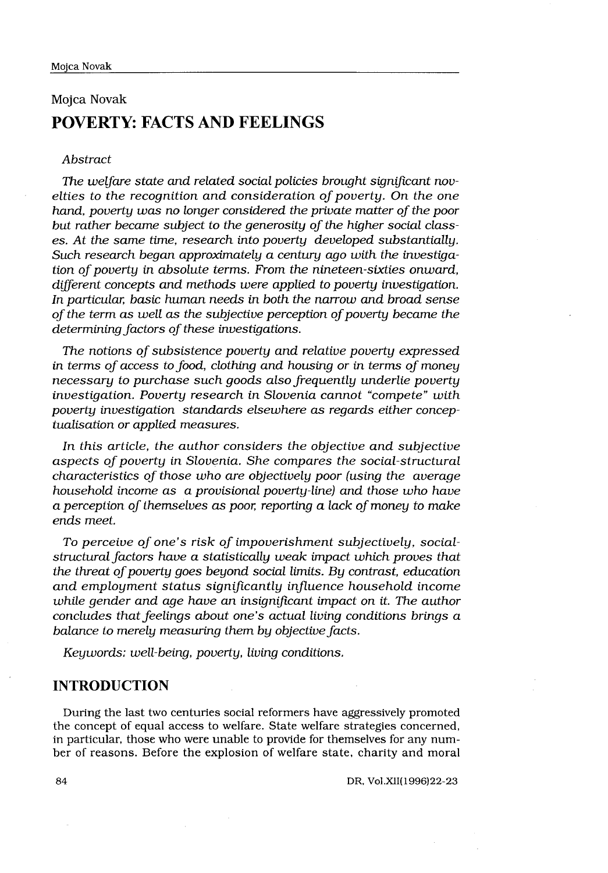# Mojca Novak POVERTY: FACTS AND FEELINGS

### Abstract

The welfare state and related social policies brought significant novelties to the recognition and consideration of poverty. On the one hand, poverty was no longer considered the private matter of the poor but rather became subject to the generosity of the higher social classes. At the same time, research into poverty developed substantially. Such research began approximately a century ago with the investigation of poverty in absolute terms. From the nineteen-sixties onward, different concepts and methods were applied to poverty investigation. In particular, basic human needs in both the narrow and broad sense of the term as well as the subjective perception of poverty became the determining factors of these investigations.

The notions of subsistence poverty and relative poverty expressed in terms of access to food, clothing and housing or in terms of money necessary to purchase such goods also frequently underlie poverty investigation. Poverty research in Slovenia cannot "compete" with poverty investigation standards elsewhere as regards either conceptualisation or applied measures.

In this article, the author considers the objective and subjective aspects of poverty in Slovenia. She compares the social-structural characteristics of those who are objectively poor (using the average household income as a provisional poverty-line) and those who have a perception of themselves as poor, reporting a lack of money to make ends meet.

To perceive of one's risk of impoverishment subjectively, socialstructural factors have a statistically weak impact which proves that the threat of poverty goes beyond social limits. By contrast, education and employment status significantly influence household income while gender and age have an insignificant impact on it. The author concludes that feelings about one's actual living conditions brings a balance to merely measuring them by objective facts.

Keywords: well-being, poverty, living conditions.

# INTRODUCTION

During the last two centuries social reformers have aggressively promoted the concept of equal access to welfare . State welfare strategies concerned, in particular, those who were unable to provide for themselves for any number of reasons . Before the explosion of welfare state, charity and moral

DR, Vol .XII(1996)22-23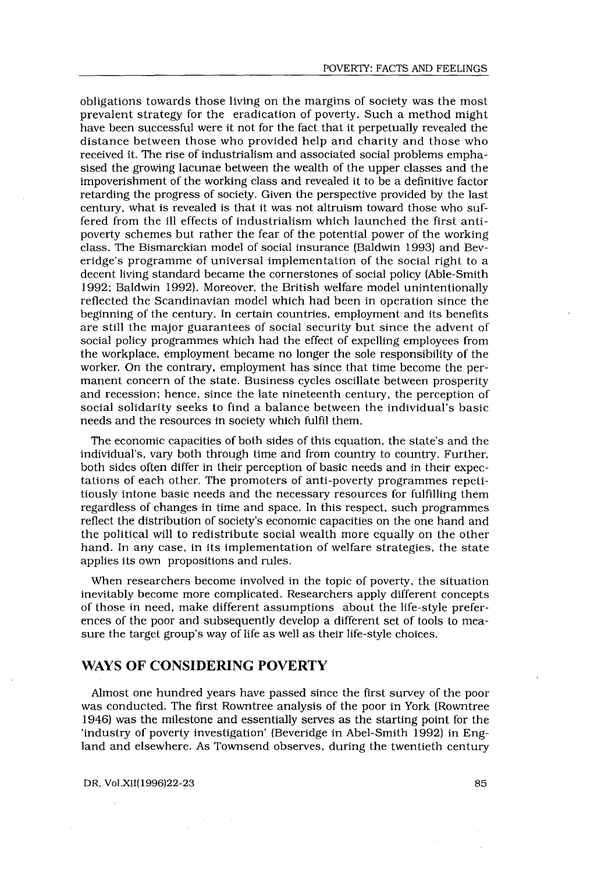obligations towards those living on the margins of society was the most prevalent strategy for the eradication of poverty . Such a method might have been successful were it not for the fact that it perpetually revealed the distance between those who provided help and charity and those who received it. The rise of industrialism and associated social problems emphasised the growing lacunae between the wealth of the upper classes and the impoverishment of the working class and revealed it to be a definitive factor retarding the progress of society . Given the perspective provided by the last century, what is revealed is that it was not altruism toward those who suffered from the ill effects of industrialism which launched the first antipoverty schemes but rather the fear of the potential power of the working class . The Bismarckian model of social insurance (Baldwin 1993) and Beveridge's programme of universal implementation of the social right to a decent living standard became the cornerstones of social policy (Able-Smith 1992; Baldwin 1992). Moreover, the British welfare model unintentionally reflected the Scandinavian model which had been in operation since the beginning of the century . In certain countries, employment and its benefits are still the major guarantees of social security but since the advent of social policy programmes which had the effect of expelling employees from the workplace, employment became no longer the sole responsibility of the worker. On the contrary, employment has since that time become the permanent concern of the state. Business cycles oscillate between prosperity and recession; hence, since the late nineteenth century, the perception of social solidarity seeks to find a balance between the individual's basic needs and the resources in society which fulfil them .

The economic capacities of both sides of this equation, the state's and the individual's, vary both through time and from country to country . Further, both sides often differ in their perception of basic needs and in their expectations of each other. The promoters of anti-poverty programmes repetitiously intone basic needs and the necessary resources for fulfilling them regardless of changes in time and space . In this respect, such programmes reflect the distribution of society's economic capacities on the one hand and the political will to redistribute social wealth more equally on the other hand. In any case, in its implementation of welfare strategies, the state applies its own propositions and rules.

When researchers become involved in the topic of poverty, the situation inevitably become more complicated . Researchers apply different concepts of those in need, make different assumptions about the life-style preferences of the poor and subsequently develop a different set of tools to measure the target group's way of life as well as their life-style choices .

# WAYS OF CONSIDERING POVERTY

Almost one hundred years have passed since the first survey of the poor was conducted. The first Rowntree analysis of the poor in York (Rowntree 1946) was the milestone and essentially serves as the starting point for the `industry of poverty investigation' (Beveridge in Abel-Smith 1992) in England and elsewhere. As Townsend observes, during the twentieth century

DR, Vol .XII(1996)22-23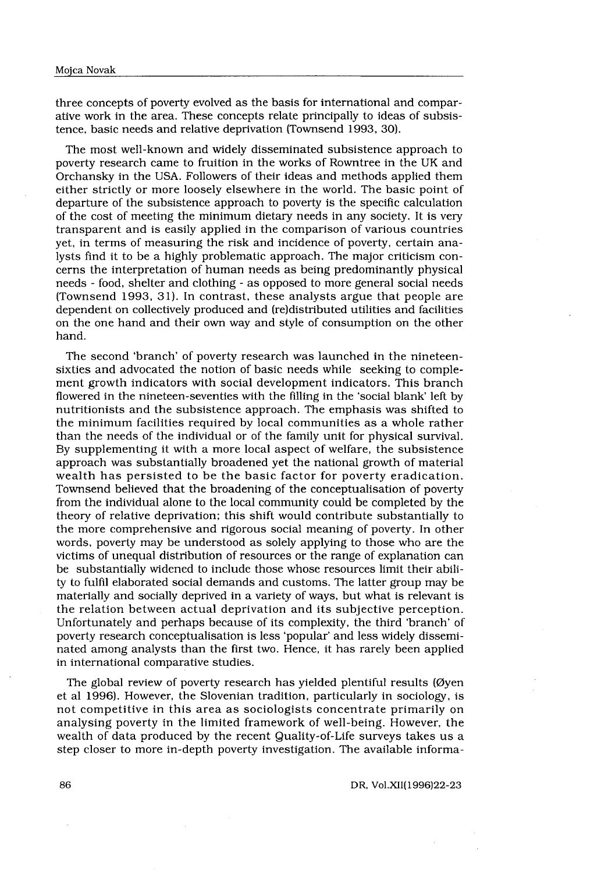Mojca Novak<br>three concepts of poverty evolved<br>ative work in the area. These cor<br>tence, basic needs and relative de three concepts of poverty evolved as the basis for international and comparative work in the area . These concepts relate principally to ideas of subsistence, basic needs and relative deprivation (Townsend 1993, 30) .

The most well-known and widely disseminated subsistence approach to poverty research came to fruition in the works of Rowntree in the UK and Orchansky in the USA . Followers of their ideas and methods applied them either strictly or more loosely elsewhere in the world . The basic point of departure of the subsistence approach to poverty is the specific calculation of the cost of meeting the minimum dietary needs in any society . It is very transparent and is easily applied in the comparison of various countries yet, in terms of measuring the risk and incidence of poverty, certain analysts find it to be a highly problematic approach . The major criticism concerns the interpretation of human needs as being predominantly physical needs - food, shelter and clothing - as opposed to more general social needs (Townsend 1993, 31) . In contrast, these analysts argue that people are dependent on collectively produced and (re)distributed utilities and facilities on the one hand and their own way and style of consumption on the other hand.

The second 'branch' of poverty research was launched in the nineteensixties and advocated the notion of basic needs while seeking to complement growth indicators with social development indicators . This branch flowered in the nineteen-seventies with the filling in the `social blank' left by nutritionists and the subsistence approach . The emphasis was shifted to the minimum facilities required by local communities as a whole rather than the needs of the individual or of the family unit for physical survival. By supplementing it with a more local aspect of welfare, the subsistence approach was substantially broadened yet the national growth of material wealth has persisted to be the basic factor for poverty eradication . Townsend believed that the broadening of the conceptualisation of poverty from the individual alone to the local community could be completed by the theory of relative deprivation; this shift would contribute substantially to the more comprehensive and rigorous social meaning of poverty. In other words, poverty may be understood as solely applying to those who are the victims of unequal distribution of resources or the range of explanation can be substantially widened to include those whose resources limit their ability to fulfil elaborated social demands and customs . The latter group may be materially and socially deprived in a variety of ways, but what is relevant is the relation between actual deprivation and its subjective perception . Unfortunately and perhaps because of its complexity, the third `branch' of poverty research conceptualisation is less `popular' and less widely disseminated among analysts than the first two . Hence, it has rarely been applied in international comparative studies.

The global review of poverty research has yielded plentiful results (Øyen et al 1996) . However, the Slovenian tradition, particularly in sociology, is not competitive in this area as sociologists concentrate primarily on analysing poverty in the limited framework of well-being. However, the wealth of data produced by the recent Quality-of-Life surveys takes us a step closer to more in-depth poverty investigation. The available informa-

DR, Vol.XII(1996)22-23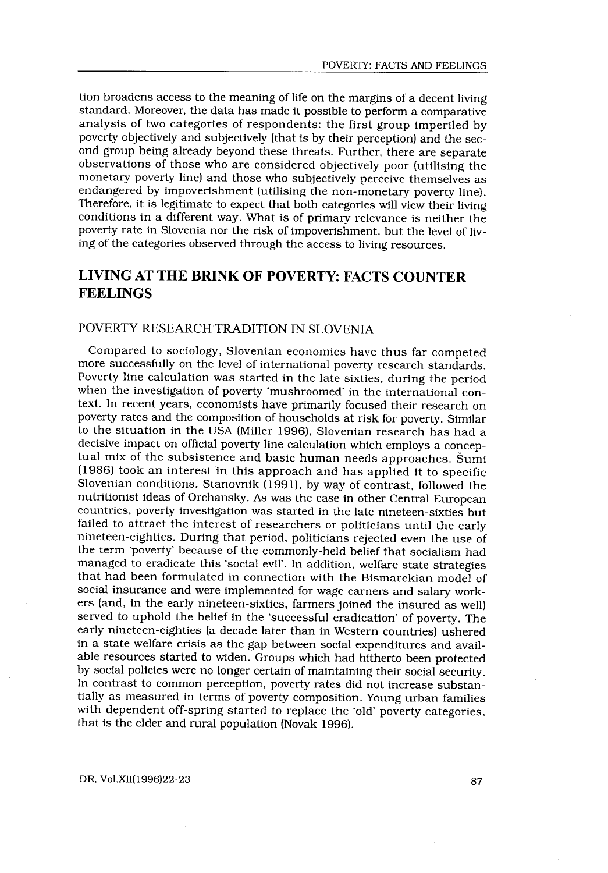tion broadens access to the meaning of life on the margins of a decent living standard. Moreover, the data has made it possible to perform a comparative analysis of two categories of respondents: the first group imperiled by poverty objectively and subjectively (that is by their perception) and the second group being already beyond these threats . Further, there are separate observations of those who are considered objectively poor (utilising the monetary poverty line) and those who subjectively perceive themselves as endangered by impoverishment (utilising the non-monetary poverty line) . Therefore, it is legitimate to expect that both categories will view their living conditions in a different way. What is of primary relevance is neither the poverty rate in Slovenia nor the risk of impoverishment, but the level of living of the categories observed through the access to living resources .

# LIVING AT THE BRINK OF POVERTY: FACTS COUNTER FEELINGS

# POVERTY RESEARCH TRADITION IN SLOVENIA

Compared to sociology, Slovenian economics have thus far competed more successfully on the level of international poverty research standards . Poverty line calculation was started in the late sixties, during the period when the investigation of poverty 'mushroomed' in the international context. In recent years, economists have primarily focused their research on poverty rates and the composition of households at risk for poverty . Similar to the situation in the USA (Miller 1996), Slovenian research has had a decisive impact on official poverty line calculation which employs a conceptual mix of the subsistence and basic human needs approaches . Šumi (1986) took an interest in this approach and has applied it to specific Slovenian conditions. Stanovnik (1991), by way of contrast, followed the nutritionist ideas of Orchansky . As was the case in other Central European countries, poverty investigation was started in the late nineteen-sixties but failed to attract the interest of researchers or politicians until the early nineteen-eighties. During that period, politicians rejected even the use of the term 'poverty' because of the commonly-held belief that socialism had managed to eradicate this 'social evil'. In addition, welfare state strategies that had been formulated in connection with the Bismarckian model of social insurance and were implemented for wage earners and salary workers (and, in the early nineteen-sixties, farmers joined the insured as well) served to uphold the belief in the 'successful eradication' of poverty. The early nineteen-eighties (a decade later than in Western countries) ushered in a state welfare crisis as the gap between social expenditures and available resources started to widen . Groups which had hitherto been protected by social policies were no longer certain of maintaining their social security . In contrast to common perception, poverty rates did not increase substantially as measured in terms of poverty composition . Young urban families with dependent off-spring started to replace the 'old' poverty categories, that is the elder and rural population (Novak 1996).

DR, Vol.XII(1996)22-23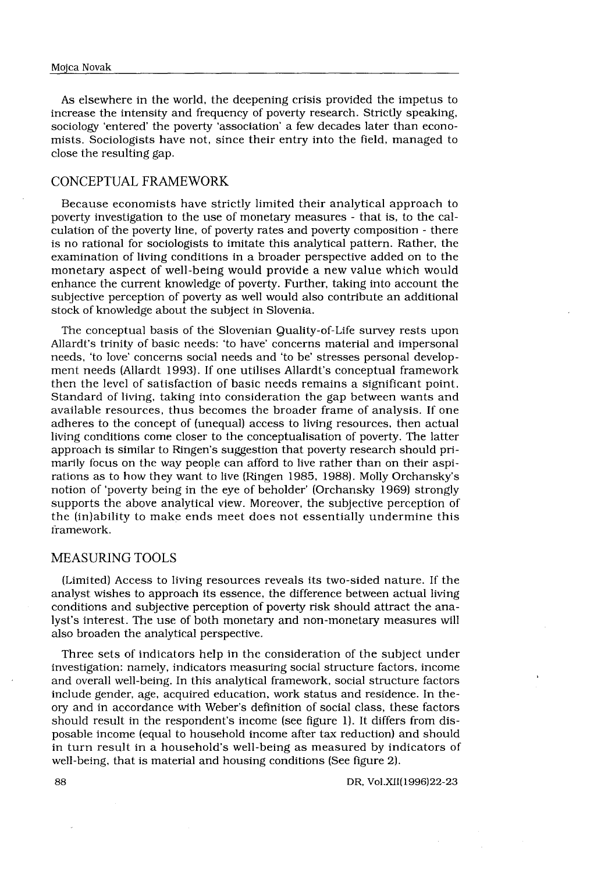As elsewhere in the world, the deepening crisis provided the impetus to increase the intensity and frequency of poverty research. Strictly speaking, sociology 'entered' the poverty 'association' a few decades later than economists. Sociologists have not, since their entry into the field, managed to close the resulting gap.

# CONCEPTUAL FRAMEWORK

Because economists have strictly limited their analytical approach to poverty investigation to the use of monetary measures - that is, to the calculation of the poverty line, of poverty rates and poverty composition - there is no rational for sociologists to imitate this analytical pattern. Rather, the examination of living conditions in a broader perspective added on to the monetary aspect of well-being would provide a new value which would enhance the current knowledge of poverty. Further, taking into account the subjective perception of poverty as well would also contribute an additional stock of knowledge about the subject in Slovenia .

The conceptual basis of the Slovenian Quality-of-Life survey rests upon Allardt's trinity of basic needs: 'to have' concerns material and impersonal needs, 'to love' concerns social needs and 'to be' stresses personal development needs (Allardt 1993) . If one utilises Allardt's conceptual framework then the level of satisfaction of basic needs remains a significant point . Standard of living, taking into consideration the gap between wants and available resources, thus becomes the broader frame of analysis . If one adheres to the concept of (unequal) access to living resources, then actual living conditions come closer to the conceptualisation of poverty . The latter approach is similar to Ringen's suggestion that poverty research should primarily focus on the way people can afford to live rather than on their aspirations as to how they want to live (Ringen 1985, 1988) . Molly Orchansky's notion of 'poverty being in the eye of beholder' (Orchansky 1969) strongly supports the above analytical view. Moreover, the subjective perception of the (in)ability to make ends meet does not essentially undermine this framework.

## MEASURING TOOLS

(Limited) Access to living resources reveals its two-sided nature . If the analyst wishes to approach its essence, the difference between actual living conditions and subjective perception of poverty risk should attract the analyst's interest . The use of both monetary and non-monetary measures will also broaden the analytical perspective.

Three sets of indicators help in the consideration of the subject under investigation: namely, indicators measuring social structure factors, income and overall well-being. In this analytical framework, social structure factors include gender, age, acquired education, work status and residence . In theory and in accordance with Weber's definition of social class, these factors should result in the respondent's income (see figure 1). It differs from disposable income (equal to household income after tax reduction) and should in turn result in a household's well-being as measured by indicators of well-being, that is material and housing conditions (See figure 2) .

DR, VoI.XII(1996)22-23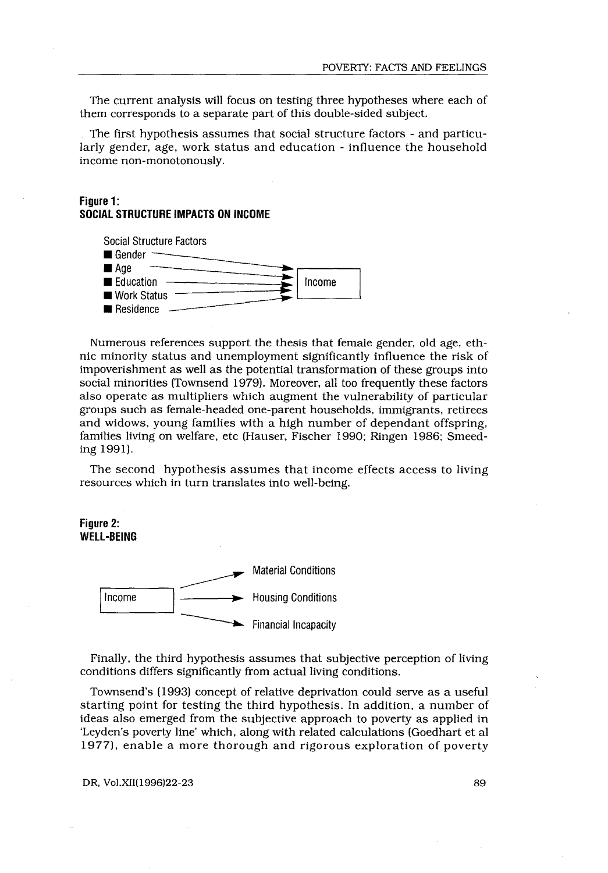The current analysis will focus on testing three hypotheses where each of them corresponds to a separate part of this double-sided subject.

The first hypothesis assumes that social structure factors - and particularly gender, age, work status and education - influence the household income non-monotonously .

# Figure 1: SOCIAL STRUCTURE IMPACTS ON INCOME



Numerous references support the thesis that female gender, old age, ethnic minority status and unemployment significantly influence the risk of impoverishment as well as the potential transformation of these groups into social minorities (Townsend 1979). Moreover, all too frequently these factors also operate as multipliers which augment the vulnerability of particular groups such as female-headed one-parent households, immigrants, retirees and widows, young families with a high number of dependant offspring, families living on welfare, etc (Hauser, Fischer 1990; Ringen 1986; Smeeding 1991). 89

The second hypothesis assumes that income effects access to living resources which in turn translates into well-being.

Figure 2: WELL-BEING



Finally, the third hypothesis assumes that subjective perception of living conditions differs significantly from actual living conditions .

Townsend's (1993) concept of relative deprivation could serve as a useful starting point for testing the third hypothesis . In addition, a number of ideas also emerged from the subjective approach to poverty as applied in 'Leyden's poverty line' which, along with related calculations (Goedhart et al 1977), enable a more thorough and rigorous exploration of poverty

DR, Vol.XII(1996)22-23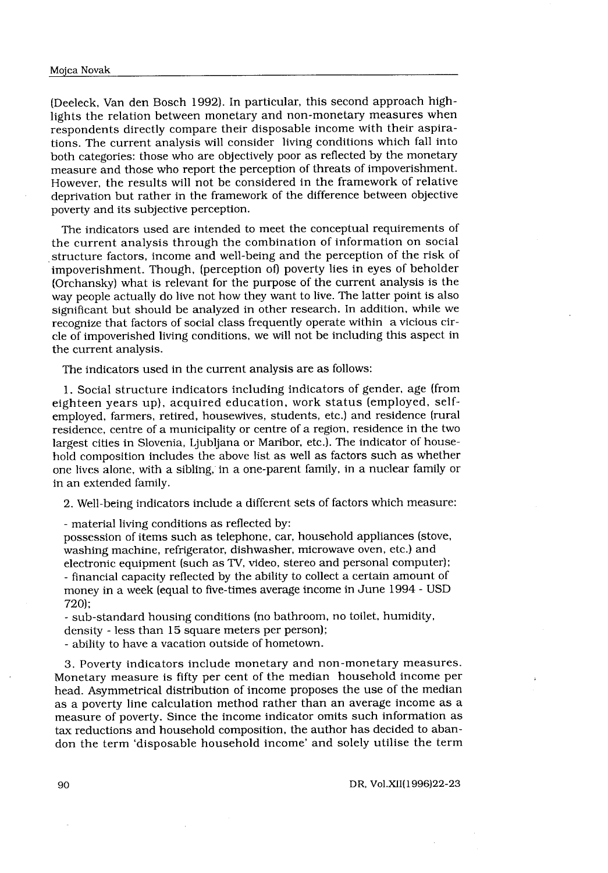(Deeleck, Van den Bosch 1992) . In particular, this second approach high-Novak<br>
eck, Van den Bosch 1992). In part<br>
the relation between monetary and<br>
the relation between monetary and<br>
the current analysis will consider<br>
categories: those who are objective lights the relation between monetary and non-monetary measures when respondents directly compare their disposable income with their aspirations. The current analysis will consider living conditions which fall into both categories: those who are objectively poor as reflected by the monetary measure and those who report the perception of threats of impoverishment. However, the results will not be considered in the framework of relative deprivation but rather in the framework of the difference between objective poverty and its subjective perception.

The indicators used are intended to meet the conceptual requirements of the current analysis through the combination of information on social structure factors, income and well-being and the perception of the risk of impoverishment. Though, (perception of) poverty lies in eyes of beholder (Orchansky) what is relevant for the purpose of the current analysis is the way people actually do live not how they want to live . The latter point is also significant but should be analyzed in other research . In addition, while we recognize that factors of social class frequently operate within a vicious circle of impoverished living conditions, we will not be including this aspect in the current analysis.

The indicators used in the current analysis are as follows:

<sup>1</sup> . Social structure indicators including indicators of gender, age (from eighteen years up), acquired education, work status (employed, selfemployed, farmers, retired, housewives, students, etc .) and residence (rural residence, centre of a municipality or centre of a region, residence in the two largest cities in Slovenia, Ljubljana or Maribor, etc.). The indicator of household composition includes the above list as well as factors such as whether one lives alone, with a sibling, in a one-parent family, in a nuclear family or in an extended family.

2. Well-being indicators include a different sets of factors which measure :

- material living conditions as reflected by :

possession of items such as telephone, car, household appliances (stove, washing machine, refrigerator, dishwasher, microwave oven, etc .) and electronic equipment (such as TV, video, stereo and personal computer); - financial capacity reflected by the ability to collect a certain amount of money in a week (equal to five-times average income in June 1994 - USD 720);

- sub-standard housing conditions (no bathroom, no toilet, humidity, density - less than 15 square meters per person);

- ability to have a vacation outside of hometown .

3. Poverty indicators include monetary and non-monetary measures . Monetary measure is fifty per cent of the median household income per head. Asymmetrical distribution of income proposes the use of the median as a poverty line calculation method rather than an average income as a measure of poverty. Since the income indicator omits such information as tax reductions and household composition, the author has decided to abandon the term `disposable household income' and solely utilise the term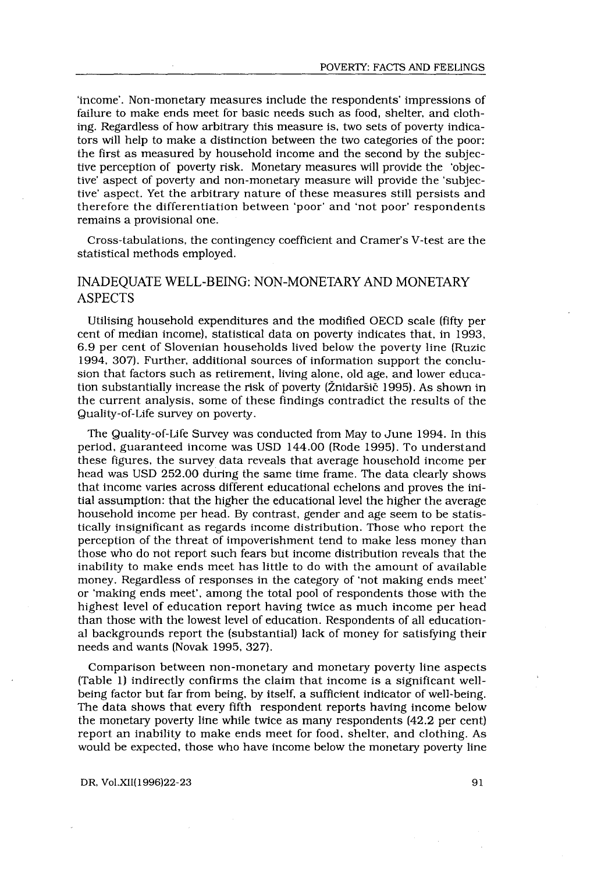'income' . Non-monetary measures include the respondents' impressions of failure to make ends meet for basic needs such as food, shelter, and clothing. Regardless of how arbitrary this measure is, two sets of poverty indicators will help to make a distinction between the two categories of the poor: the first as measured by household income and the second by the subjective perception of poverty risk . Monetary measures will provide the 'objective' aspect of poverty and non-monetary measure will provide the 'subjective' aspect. Yet the arbitrary nature of these measures still persists and therefore the differentiation between `poor' and `not poor' respondents remains a provisional one.

Cross-tabulations, the contingency coefficient and Cramer's V-test are the statistical methods employed.

# INADEQUATE WELL-BEING: NON-MONETARY AND MONETARY ASPECTS

Utilising household expenditures and the modified OECD scale (fifty per cent of median income), statistical data on poverty indicates that, in 1993, 6 .9 per cent of Slovenian households lived below the poverty line (Ruzic 1994, 307) . Further, additional sources of information support the conclusion that factors such as retirement, living alone, old age, and lower education substantially increase the risk of poverty (Žnidaršič 1995) . As shown in the current analysis, some of these findings contradict the results of the Quality-of-Life survey on poverty .

The Quality-of-Life Survey was conducted from May to June 1994 . In this period, guaranteed income was USD 144 .00 (Rode 1995) . To understand these figures, the survey data reveals that average household income per head was USD 252 .00 during the same time frame . The data clearly shows that income varies across different educational echelons and proves the initial assumption: that the higher the educational level the higher the average household income per head. By contrast, gender and age seem to be statistically insignificant as regards income distribution . Those who report the perception of the threat of impoverishment tend to make less money than those who do not report such fears but income distribution reveals that the inability to make ends meet has little to do with the amount of available money. Regardless of responses in the category of 'not making ends meet' or 'making ends meet', among the total pool of respondents those with the highest level of education report having twice as much income per head than those with the lowest level of education . Respondents of all educational backgrounds report the (substantial) lack of money for satisfying their needs and wants (Novak 1995, 327) .

Comparison between non-monetary and monetary poverty line aspects (Table 1) indirectly confirms the claim that income is a significant wellbeing factor but far from being, by itself, a sufficient indicator of well-being . The data shows that every fifth respondent reports having income below the monetary poverty line while twice as many respondents (42.2 per cent) report an inability to make ends meet for food, shelter, and clothing. As would be expected, those who have income below the monetary poverty line

DR, Vol .XII(1996)22-23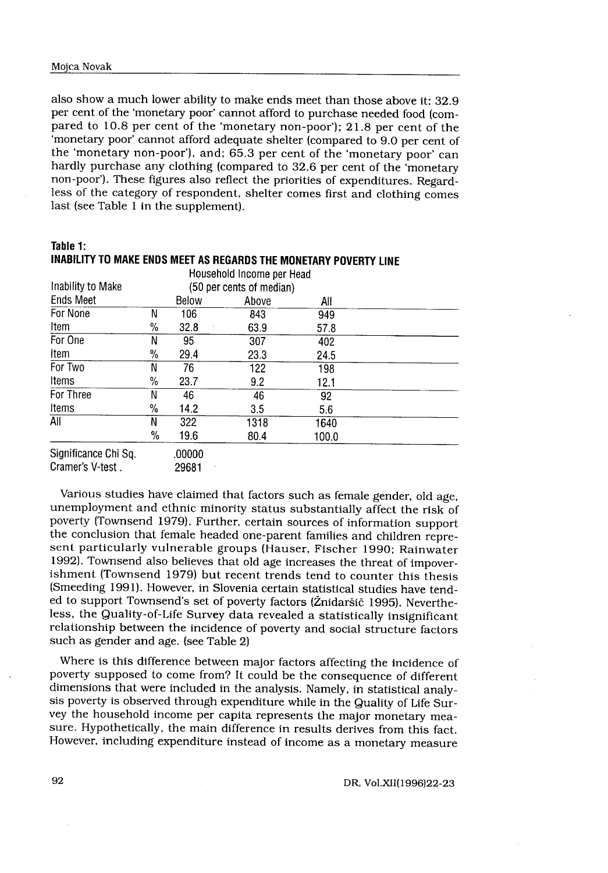Table 1 : INABILITY TO MAKE ENDS MEET AS REGARDS THE MONETARY POVERTY LINE

| Mojca Novak<br>also show a much lower ability to make ends meet than those above it: 32.9<br>per cent of the 'monetary poor' cannot afford to purchase needed food (com-<br>pared to 10.8 per cent of the 'monetary non-poor'); 21.8 per cent of the<br>'monetary poor' cannot afford adequate shelter (compared to 9.0 per cent of |                |                  |                                   |                 |  |
|-------------------------------------------------------------------------------------------------------------------------------------------------------------------------------------------------------------------------------------------------------------------------------------------------------------------------------------|----------------|------------------|-----------------------------------|-----------------|--|
|                                                                                                                                                                                                                                                                                                                                     |                |                  |                                   |                 |  |
|                                                                                                                                                                                                                                                                                                                                     |                |                  |                                   |                 |  |
|                                                                                                                                                                                                                                                                                                                                     |                |                  |                                   |                 |  |
|                                                                                                                                                                                                                                                                                                                                     |                |                  |                                   |                 |  |
|                                                                                                                                                                                                                                                                                                                                     |                |                  |                                   |                 |  |
| less of the category of respondent, shelter comes first and clothing comes<br>last (see Table 1 in the supplement).<br>Table 1:                                                                                                                                                                                                     |                |                  |                                   |                 |  |
| INABILITY TO MAKE ENDS MEET AS REGARDS THE MONETARY POVERTY LINE                                                                                                                                                                                                                                                                    |                |                  |                                   |                 |  |
| Inability to Make                                                                                                                                                                                                                                                                                                                   |                |                  | Household Income per Head         |                 |  |
| <b>Ends Meet</b>                                                                                                                                                                                                                                                                                                                    |                | Below            | (50 per cents of median)<br>Above | All             |  |
| For None                                                                                                                                                                                                                                                                                                                            | N              | 106              | 843                               | 949             |  |
| Item                                                                                                                                                                                                                                                                                                                                | %              | 32.8             | 63.9                              | 57.8            |  |
| For One                                                                                                                                                                                                                                                                                                                             | N              | 95               | 307                               | 402             |  |
| ltem                                                                                                                                                                                                                                                                                                                                | $\%$           | 29.4             | 23.3                              | 24.5            |  |
| For Two                                                                                                                                                                                                                                                                                                                             | N              | 76               | 122                               | 198             |  |
| Items                                                                                                                                                                                                                                                                                                                               | %              | 23.7             | 9.2                               | 12.1            |  |
| For Three                                                                                                                                                                                                                                                                                                                           | N              | 46               | 46                                | $\overline{92}$ |  |
| Items                                                                                                                                                                                                                                                                                                                               | %              | 14.2             | 3.5                               | 5.6             |  |
| All                                                                                                                                                                                                                                                                                                                                 | $\overline{N}$ | $\overline{322}$ | 1318                              | 1640            |  |
|                                                                                                                                                                                                                                                                                                                                     | $\frac{0}{2}$  | 19.6             | 80.4                              | 100.0           |  |
| Significance Chi Sq.                                                                                                                                                                                                                                                                                                                |                | .00000           |                                   |                 |  |

Various studies have claimed that factors such as female gender, old age, unemployment and ethnic minority status substantially affect the risk of poverty (Townsend 1979) . Further, certain sources of information support the conclusion that female headed one-parent families and children represent particularly vulnerable groups (Hauser, Fischer 1990; Rainwater 1992). Townsend also believes that old age increases the threat of impoverishment (Townsend 1979) but recent trends tend to counter this thesis (Smeeding 1991) . However, in Slovenia certain statistical studies have tended to support Townsend's set of poverty factors (Žnidaršič 1995) . Nevertheless, the Quality-of-Life Survey data revealed a statistically insignificant relationship between the incidence of poverty and social structure factors such as gender and age. (see Table 2)

Where is this difference between major factors affecting the incidence of poverty supposed to come from? It could be the consequence of different dimensions that were included in the analysis. Namely, in statistical analysis poverty is observed through expenditure while in the Quality of Life Survey the household income per capita represents the major monetary measure. Hypothetically, the main difference in results derives from this fact. However, including expenditure instead of income as a monetary measure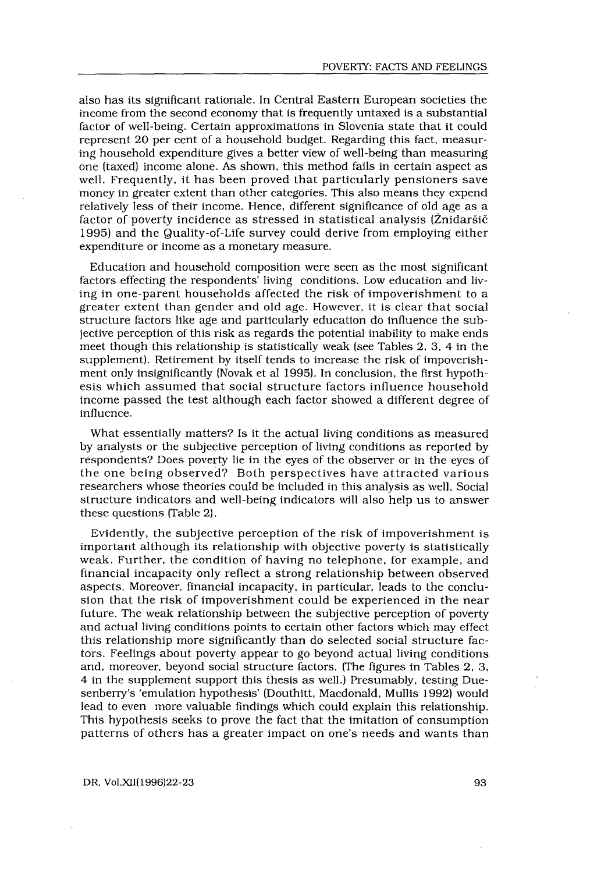also has its significant rationale . In Central Eastern European societies the income from the second economy that is frequently untaxed is a substantial factor of well-being. Certain approximations in Slovenia state that it could represent 20 per cent of a household budget. Regarding this fact, measuring household expenditure gives a better view of well-being than measuring one (taxed) income alone . As shown, this method fails in certain aspect as well. Frequently, it has been proved that particularly pensioners save money in greater extent than other categories . This also means they expend relatively less of their income. Hence, different significance of old age as a factor of poverty incidence as stressed in statistical analysis (Žnidaršič 1995) and the Quality-of-Life survey could derive from employing either expenditure or income as a monetary measure.

Education and household composition were seen as the most significant factors effecting the respondents' living conditions . Low education and living in one-parent households affected the risk of impoverishment to a greater extent than gender and old age. However, it is clear that social structure factors like age and particularly education do influence the subjective perception of this risk as regards the potential inability to make ends meet though this relationship is statistically weak (see Tables 2, 3, 4 in the supplement) . Retirement by itself tends to increase the risk of impoverishment only insignificantly (Novak et al 1995) . In conclusion, the first hypothesis which assumed that social structure factors influence household income passed the test although each factor showed a different degree of influence .

What essentially matters? Is it the actual living conditions as measured by analysts or the subjective perception of living conditions as reported by respondents? Does poverty lie in the eyes of the observer or in the eyes of the one being observed? Both perspectives have attracted various researchers whose theories could be included in this analysis as well . Social structure indicators and well-being indicators will also help us to answer these questions (Table 2) .

Evidently, the subjective perception of the risk of impoverishment is important although its relationship with objective poverty is statistically weak. Further, the condition of having no telephone, for example, and financial incapacity only reflect a strong relationship between observed aspects . Moreover, financial incapacity, in particular, leads to the conclusion that the risk of impoverishment could be experienced in the near future. The weak relationship between the subjective perception of poverty and actual living conditions points to certain other factors which may effect this relationship more significantly than do selected social structure factors . Feelings about poverty appear to go beyond actual living conditions and, moreover, beyond social structure factors . (The figures in Tables 2, 3, 4 in the supplement support this thesis as well .) Presumably, testing Duesenberry's 'emulation hypothesis' (Douthitt, Macdonald, Mullis 1992) would lead to even more valuable findings which could explain this relationship. This hypothesis seeks to prove the fact that the imitation of consumption patterns of others has a greater impact on one's needs and wants than

DR, Vol.XII(1996)22-23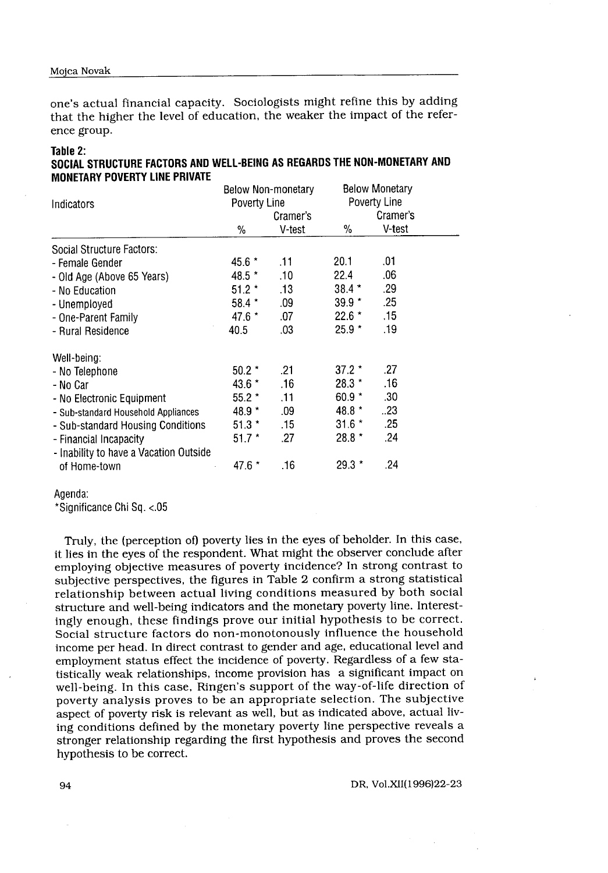one's actual financial capacity. Sociologists might refine this by adding that the higher the level of education, the weaker the impact of the reference group.

#### Table 2:

| SOCIAL STRUCTURE FACTORS AND WELL-BEING AS REGARDS THE NON-MONETARY AND |  |
|-------------------------------------------------------------------------|--|
| <b>MONETARY POVERTY LINE PRIVATE</b>                                    |  |

| Indicators                             | <b>Below Non-monetary</b><br>Poverty Line<br>Cramer's |        | <b>Below Monetary</b><br>Poverty Line<br>Cramer's |             |  |  |
|----------------------------------------|-------------------------------------------------------|--------|---------------------------------------------------|-------------|--|--|
|                                        | %                                                     | V-test | %                                                 | V-test      |  |  |
| Social Structure Factors:              |                                                       |        |                                                   |             |  |  |
| - Female Gender                        | $45.6*$                                               | .11    | 20.1                                              | .01         |  |  |
| - Old Age (Above 65 Years)             | $48.5*$                                               | .10    | 22.4                                              | .06         |  |  |
| - No Education                         | $51.2*$                                               | .13    | $38.4*$                                           | .29         |  |  |
| - Unemployed                           | 58.4 *                                                | .09    | $39.9*$                                           | .25         |  |  |
| - One-Parent Family                    | $47.6*$                                               | .07    | $22.6*$                                           | $\sqrt{15}$ |  |  |
| - Rural Residence                      | 40.5                                                  | .03    | $25.9*$                                           | .19         |  |  |
| Well-being:                            |                                                       |        |                                                   |             |  |  |
| - No Telephone                         | $50.2*$                                               | .21    | $37.2*$                                           | .27         |  |  |
| - No Car                               | $43.6*$                                               | .16    | $28.3*$                                           | .16         |  |  |
| - No Electronic Equipment              | $55.2*$                                               | .11    | $60.9*$                                           | .30         |  |  |
| - Sub-standard Household Appliances    | 48.9 *                                                | .09    | $48.8*$                                           | .23         |  |  |
| - Sub-standard Housing Conditions      | $51.3*$                                               | .15    | $31.6*$                                           | .25         |  |  |
| - Financial Incapacity                 | $51.7*$                                               | .27    | $28.8*$                                           | .24         |  |  |
| - Inability to have a Vacation Outside |                                                       |        |                                                   |             |  |  |
| of Home-town                           | 47.6 *                                                | .16    | $29.3*$                                           | .24         |  |  |

#### Agenda:

\*Significance Chi Sq. <.05

Truly, the (perception of) poverty lies in the eyes of beholder . In this case, it lies in the eyes of the respondent. What might the observer conclude after employing objective measures of poverty incidence? In strong contrast to subjective perspectives, the figures in Table 2 confirm a strong statistical relationship between actual living conditions measured by both social structure and well-being indicators and the monetary poverty line. Interestingly enough, these findings prove our initial hypothesis to be correct. Social structure factors do non-monotonously influence the household income per head. In direct contrast to gender and age, educational level and employment status effect the incidence of poverty . Regardless of a few statistically weak relationships, income provision has a significant impact on well-being. In this case, Ringen's support of the way-of-life direction of poverty analysis proves to be an appropriate selection . The subjective aspect of poverty risk is relevant as well, but as indicated above, actual living conditions defined by the monetary poverty line perspective reveals a stronger relationship regarding the first hypothesis and proves the second hypothesis to be correct.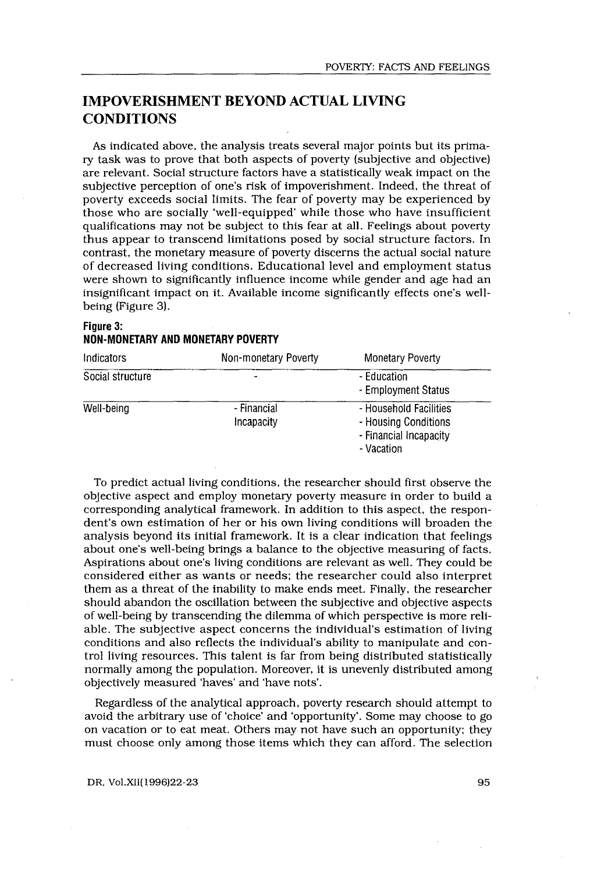# IMPOVERISHMENT BEYOND ACTUAL LIVING **CONDITIONS**

As indicated above, the analysis treats several major points but its primary task was to prove that both aspects of poverty (subjective and objective) are relevant. Social structure factors have a statistically weak impact on the subjective perception of one's risk of impoverishment. Indeed, the threat of poverty exceeds social limits. The fear of poverty may be experienced by those who are socially 'well-equipped' while those who have insufficient qualifications may not be subject to this fear at all . Feelings about poverty thus appear to transcend limitations posed by social structure factors . In contrast, the monetary measure of poverty discerns the actual social nature of decreased living conditions . Educational level and employment status were shown to significantly influence income while gender and age had an insignificant impact on it . Available income significantly effects one's wellbeing (Figure 3).

# Figure 3: NON-MONETARY AND MONETARY POVERTY

| Indicators       | Non-monetary Poverty      | <b>Monetary Poverty</b>                                                                |
|------------------|---------------------------|----------------------------------------------------------------------------------------|
| Social structure |                           | - Education<br>- Employment Status                                                     |
| Well-being       | - Financial<br>Incapacity | - Household Facilities<br>- Housing Conditions<br>- Financial Incapacity<br>- Vacation |

To predict actual living conditions, the researcher should first observe the objective aspect and employ monetary poverty measure in order to build a corresponding analytical framework . In addition to this aspect, the respondent's own estimation of her or his own living conditions will broaden the analysis beyond its initial framework . It is a clear indication that feelings about one's well-being brings a balance to the objective measuring of facts . Aspirations about one's living conditions are relevant as well . They could be considered either as wants or needs; the researcher could also interpret them as a threat of the inability to make ends meet. Finally, the researcher should abandon the oscillation between the subjective and objective aspects of well-being by transcending the dilemma of which perspective is more reliable. The subjective aspect concerns the individual's estimation of living conditions and also reflects the individual's ability to manipulate and control living resources . This talent is far from being distributed statistically normally among the population . Moreover, it is unevenly distributed among objectively measured 'haves' and 'have nots' .

Regardless of the analytical approach, poverty research should attempt to avoid the arbitrary use of 'choice' and 'opportunity' . Some may choose to go on vacation or to eat meat. Others may not have such an opportunity; they must choose only among those items which they can afford. The selection

DR, Vol.XII(1996)22-23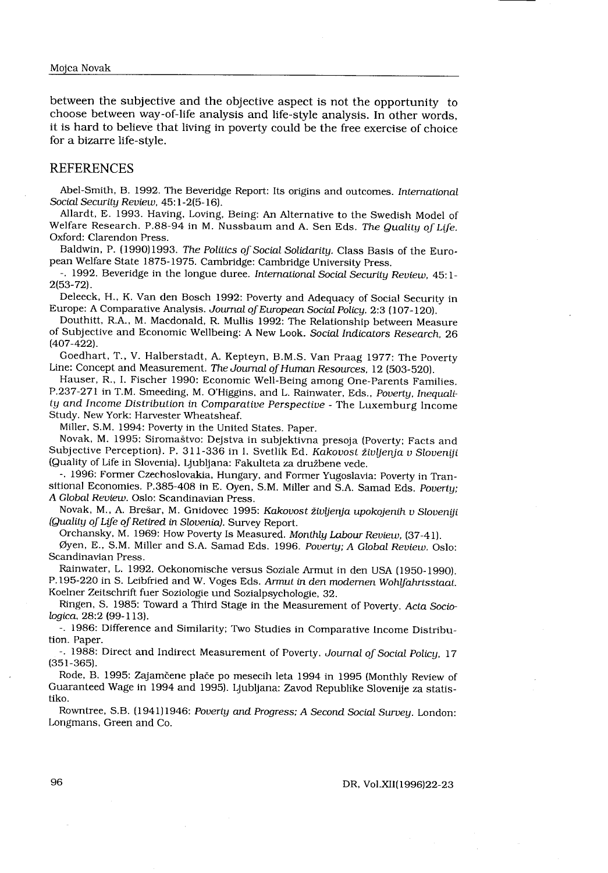between the subjective and the objective aspect is not the opportunity to choose between way-of-life analysis and life-style analysis . In other words, it is hard to believe that living in poverty could be the free exercise of choice for a bizarre life-style.

#### REFERENCES

Abel-Smith, B. 1992. The Beveridge Report: Its origins and outcomes. International Social Security Review, 45:1-2(5-16).

Allardt, E. 1993. Having, Loving, Being: An Alternative to the Swedish Model of Welfare Research. P.88-94 in M. Nussbaum and A. Sen Eds. The Quality of Life. Oxford: Clarendon Press.

Baldwin, P. (1990)1993. The Politics of Social Solidarity. Class Basis of the European Welfare State 1875-1975 . Cambridge: Cambridge University Press .

-. 1992. Beveridge in the longue duree. International Social Security Review, 45:1-2(53-72) .

Deleeck, H., K. Van den Bosch 1992: Poverty and Adequacy of Social Security in Europe: A Comparative Analysis. Journal of European Social Policy. 2:3 (107-120).

Douthitt, R.A., M . Macdonald, R . Mullis 1992 : The Relationship between Measure of Subjective and Economic Wellbeing: A New Look. Social Indicators Research, 26 (407-422) .

Goedhart, T., V . Halberstadt, A. Kepteyn, B .M.S . Van Praag 1977 : The Poverty Line: Concept and Measurement. The Journal of Human Resources, 12 (503-520).

Hauser, R., I. Fischer 1990: Economic Well-Being among One-Parents Families. P.237-271 in T.M. Smeeding, M. O'Higgins, and L. Rainwater, Eds., Poverty, Inequality and Income Distribution in Comparative Perspective - The Luxemburg Income Study. New York: Harvester Wheatsheaf.

Miller, S.M. 1994: Poverty in the United States. Paper.

Novak, M. 1995: Siromaštvo: Dejstva in subjektivna presoja (Poverty; Facts and Subjective Perception). P. 311-336 in I. Svetlik Ed. Kakovost življenja v Sloveniji (Quality of Life in Slovenia). Ljubljana: Fakulteta za družbene vede.

-. 1996: Former Czechoslovakia, Hungary, and Former Yugoslavia: Poverty in Transitional Economies. P.385-408 in E. Oyen, S.M. Miller and S.A. Samad Eds. Poverty; A Global Review. Oslo: Scandinavian Press.

Novak, M., A. Brešar, M. Gnidovec 1995: Kakovost življenja upokojenih v Sloveniji (Quality of Life of Retired in Slovenia). Survey Report.

Orchansky, M. 1969: How Poverty Is Measured. Monthly Labour Review. (37-41).

Øyen, E., S.M. Miller and S.A. Samad Eds. 1996. Poverty; A Global Review. Oslo: Scandinavian Press .

Rainwater, L. 1992. Oekonomische versus Soziale Armut in den USA (1950-1990). P.195-220 in S. Leibfried and W. Voges Eds. Armut in den modernen Wohlfahrtsstaat. Koelner Zeitschrift fuer Soziologie and Sozialpsychologie, 32 .

Ringen, S. 1985: Toward a Third Stage in the Measurement of Poverty. Acta Sociologica, 28:2 (99-113).

-. 1986: Difference and Similarity; Two Studies in Comparative Income Distribution. Paper.

-. 1988: Direct and Indirect Measurement of Poverty. Journal of Social Policy, 17 (351-365) .

Rode, B. 1995 : Zajamčene plače po mesecih leta 1994 in 1995 (Monthly Review of Guaranteed Wage in 1994 and 1995) . Ljubljana: Zavod Republike Slovenije za statistiko.

Rowntree, S.B. (1941)1946: Poverty and Progress; A Second Social Survey. London: Longmans, Green and Co.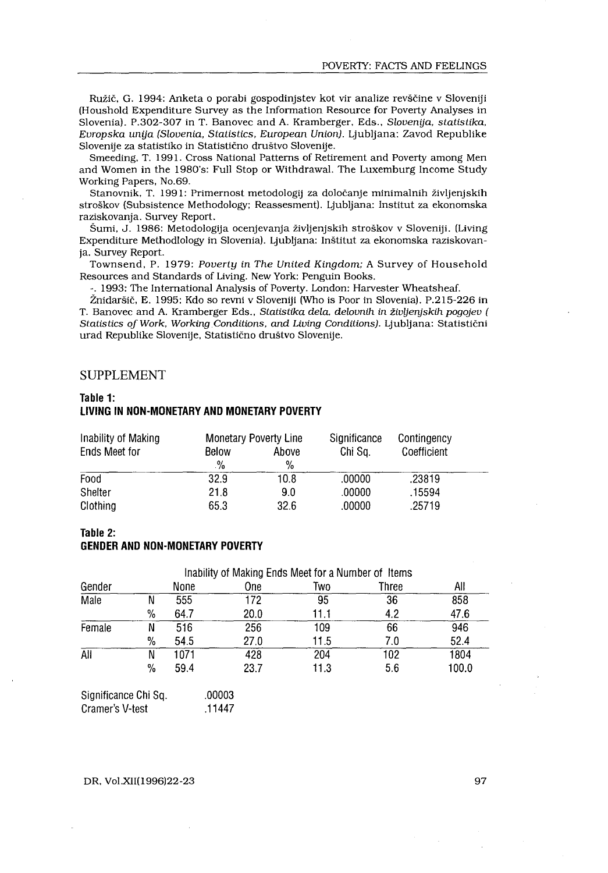#### SUPPLEMENT

 

#### Table 1: LIVING IN NON-MONETARY AND MONETARY POVERTY

| Inability of Making<br><b>Monetary Poverty Line</b> |             |               | Significance | Contingency |  |
|-----------------------------------------------------|-------------|---------------|--------------|-------------|--|
| Ends Meet for                                       | Below<br>.% | Above<br>$\%$ | Chi Sa.      | Coefficient |  |
| Food                                                | 32.9        | 10.8          | .00000       | .23819      |  |
| Shelter                                             | 21.8        | 9.0           | .00000       | .15594      |  |
| Clothing                                            | 65.3        | 32.6          | .00000       | .25719      |  |

#### Table 2:

## GENDER AND NON-MONETARY POVERTY

|                                                                              |      |      |                                                                                                                       |       |                                                             | POVERTY: FACTS AND FEELINGS                                                                                                                                                                                                                                                                                                                                                                                                                                                                                                                                                                                                                                                                                                                                                                                                                                                                                                                                                                                                                                                                                                                                                                                                                                                                                      |  |
|------------------------------------------------------------------------------|------|------|-----------------------------------------------------------------------------------------------------------------------|-------|-------------------------------------------------------------|------------------------------------------------------------------------------------------------------------------------------------------------------------------------------------------------------------------------------------------------------------------------------------------------------------------------------------------------------------------------------------------------------------------------------------------------------------------------------------------------------------------------------------------------------------------------------------------------------------------------------------------------------------------------------------------------------------------------------------------------------------------------------------------------------------------------------------------------------------------------------------------------------------------------------------------------------------------------------------------------------------------------------------------------------------------------------------------------------------------------------------------------------------------------------------------------------------------------------------------------------------------------------------------------------------------|--|
| Working Papers, No.69.<br>raziskovanja. Survey Report.<br>ja. Survey Report. |      |      | Slovenije za statistiko in Statistično društvo Slovenije.<br>urad Republike Slovenije, Statistično društvo Slovenije. |       | Resources and Standards of Living. New York: Penguin Books. | Ružič, G. 1994: Anketa o porabi gospodinjstev kot vir analize revščine v Sloveniji<br>(Houshold Expenditure Survey as the Information Resource for Poverty Analyses in<br>Slovenia). P.302-307 in T. Banovec and A. Kramberger, Eds., Slovenija, statistika,<br>Evropska unija (Slovenia, Statistics, European Union). Ljubljana: Zavod Republike<br>Smeeding, T. 1991. Cross National Patterns of Retirement and Poverty among Men<br>and Women in the 1980's: Full Stop or Withdrawal. The Luxemburg Income Study<br>Stanovnik, T. 1991: Primernost metodologij za določanje minimalnih življenjskih<br>stroškov (Subsistence Methodology; Reassesment). Ljubljana: Institut za ekonomska<br>Šumi, J. 1986: Metodologija ocenjevanja življenjskih stroškov v Sloveniji. (Living<br>Expenditure Methodlology in Slovenia). Ljubljana: Inštitut za ekonomska raziskovan-<br>Townsend, P. 1979: Poverty in The United Kingdom; A Survey of Household<br>-. 1993: The International Analysis of Poverty. London: Harvester Wheatsheaf.<br>Žnidaršič, E. 1995: Kdo so revni v Sloveniji (Who is Poor in Slovenia). P.215-226 in<br>T. Banovec and A. Kramberger Eds., Statistika dela, delovnih in življenjskih pogojev (<br>Statistics of Work, Working Conditions, and Living Conditions). Ljubljana: Statistični |  |
| <b>SUPPLEMENT</b>                                                            |      |      |                                                                                                                       |       |                                                             |                                                                                                                                                                                                                                                                                                                                                                                                                                                                                                                                                                                                                                                                                                                                                                                                                                                                                                                                                                                                                                                                                                                                                                                                                                                                                                                  |  |
|                                                                              |      |      |                                                                                                                       |       |                                                             |                                                                                                                                                                                                                                                                                                                                                                                                                                                                                                                                                                                                                                                                                                                                                                                                                                                                                                                                                                                                                                                                                                                                                                                                                                                                                                                  |  |
|                                                                              |      |      |                                                                                                                       |       |                                                             |                                                                                                                                                                                                                                                                                                                                                                                                                                                                                                                                                                                                                                                                                                                                                                                                                                                                                                                                                                                                                                                                                                                                                                                                                                                                                                                  |  |
| Table 1:                                                                     |      |      | LIVING IN NON-MONETARY AND MONETARY POVERTY                                                                           |       |                                                             |                                                                                                                                                                                                                                                                                                                                                                                                                                                                                                                                                                                                                                                                                                                                                                                                                                                                                                                                                                                                                                                                                                                                                                                                                                                                                                                  |  |
| Inability of Making                                                          |      |      | <b>Monetary Poverty Line</b>                                                                                          |       | Significance                                                | Contingency                                                                                                                                                                                                                                                                                                                                                                                                                                                                                                                                                                                                                                                                                                                                                                                                                                                                                                                                                                                                                                                                                                                                                                                                                                                                                                      |  |
| Ends Meet for                                                                |      |      | Below                                                                                                                 | Above | Chi Sq.                                                     | Coefficient                                                                                                                                                                                                                                                                                                                                                                                                                                                                                                                                                                                                                                                                                                                                                                                                                                                                                                                                                                                                                                                                                                                                                                                                                                                                                                      |  |
|                                                                              |      |      | $\%$                                                                                                                  | $\%$  |                                                             |                                                                                                                                                                                                                                                                                                                                                                                                                                                                                                                                                                                                                                                                                                                                                                                                                                                                                                                                                                                                                                                                                                                                                                                                                                                                                                                  |  |
| Food                                                                         |      |      | 32.9                                                                                                                  | 10.8  | .00000                                                      | .23819                                                                                                                                                                                                                                                                                                                                                                                                                                                                                                                                                                                                                                                                                                                                                                                                                                                                                                                                                                                                                                                                                                                                                                                                                                                                                                           |  |
| Shelter                                                                      |      |      | 21.8                                                                                                                  | 9.0   | .00000                                                      | .15594                                                                                                                                                                                                                                                                                                                                                                                                                                                                                                                                                                                                                                                                                                                                                                                                                                                                                                                                                                                                                                                                                                                                                                                                                                                                                                           |  |
| Clothing                                                                     |      |      | 65.3                                                                                                                  | 32.6  | .00000                                                      | .25719                                                                                                                                                                                                                                                                                                                                                                                                                                                                                                                                                                                                                                                                                                                                                                                                                                                                                                                                                                                                                                                                                                                                                                                                                                                                                                           |  |
| Table 2:                                                                     |      |      |                                                                                                                       |       |                                                             |                                                                                                                                                                                                                                                                                                                                                                                                                                                                                                                                                                                                                                                                                                                                                                                                                                                                                                                                                                                                                                                                                                                                                                                                                                                                                                                  |  |
|                                                                              |      |      | <b>GENDER AND NON-MONETARY POVERTY</b>                                                                                |       |                                                             |                                                                                                                                                                                                                                                                                                                                                                                                                                                                                                                                                                                                                                                                                                                                                                                                                                                                                                                                                                                                                                                                                                                                                                                                                                                                                                                  |  |
|                                                                              |      |      |                                                                                                                       |       |                                                             |                                                                                                                                                                                                                                                                                                                                                                                                                                                                                                                                                                                                                                                                                                                                                                                                                                                                                                                                                                                                                                                                                                                                                                                                                                                                                                                  |  |
|                                                                              |      |      |                                                                                                                       |       | Inability of Making Ends Meet for a Number of Items         |                                                                                                                                                                                                                                                                                                                                                                                                                                                                                                                                                                                                                                                                                                                                                                                                                                                                                                                                                                                                                                                                                                                                                                                                                                                                                                                  |  |
| Gender                                                                       |      | None | One                                                                                                                   |       | Two                                                         | All<br><b>Three</b>                                                                                                                                                                                                                                                                                                                                                                                                                                                                                                                                                                                                                                                                                                                                                                                                                                                                                                                                                                                                                                                                                                                                                                                                                                                                                              |  |
| Male                                                                         | N    | 555  | $\overline{172}$                                                                                                      |       | 95                                                          | 36<br>858                                                                                                                                                                                                                                                                                                                                                                                                                                                                                                                                                                                                                                                                                                                                                                                                                                                                                                                                                                                                                                                                                                                                                                                                                                                                                                        |  |
|                                                                              | $\%$ | 64.7 | 20.0                                                                                                                  |       | 11.1                                                        | 4.2<br>47.6                                                                                                                                                                                                                                                                                                                                                                                                                                                                                                                                                                                                                                                                                                                                                                                                                                                                                                                                                                                                                                                                                                                                                                                                                                                                                                      |  |
| Female                                                                       | Ñ    | 516  | 256                                                                                                                   |       | 109                                                         | 66<br>946                                                                                                                                                                                                                                                                                                                                                                                                                                                                                                                                                                                                                                                                                                                                                                                                                                                                                                                                                                                                                                                                                                                                                                                                                                                                                                        |  |
|                                                                              | %    | 54.5 | 27.0                                                                                                                  |       | 11.5                                                        | 7.0<br>52.4                                                                                                                                                                                                                                                                                                                                                                                                                                                                                                                                                                                                                                                                                                                                                                                                                                                                                                                                                                                                                                                                                                                                                                                                                                                                                                      |  |
| $\overline{All}$                                                             | N    | 1071 | 428                                                                                                                   |       | 204                                                         | 102<br>1804                                                                                                                                                                                                                                                                                                                                                                                                                                                                                                                                                                                                                                                                                                                                                                                                                                                                                                                                                                                                                                                                                                                                                                                                                                                                                                      |  |
|                                                                              | $\%$ | 59.4 | 23.7                                                                                                                  |       | 11.3                                                        | 5.6<br>100.0                                                                                                                                                                                                                                                                                                                                                                                                                                                                                                                                                                                                                                                                                                                                                                                                                                                                                                                                                                                                                                                                                                                                                                                                                                                                                                     |  |
| Significance Chi Sq.                                                         |      |      | .00003                                                                                                                |       |                                                             |                                                                                                                                                                                                                                                                                                                                                                                                                                                                                                                                                                                                                                                                                                                                                                                                                                                                                                                                                                                                                                                                                                                                                                                                                                                                                                                  |  |

| Significance Chi Sq. | .00003 |
|----------------------|--------|
| Cramer's V-test      | .11447 |

DR, Vol.XII(1996)22-23